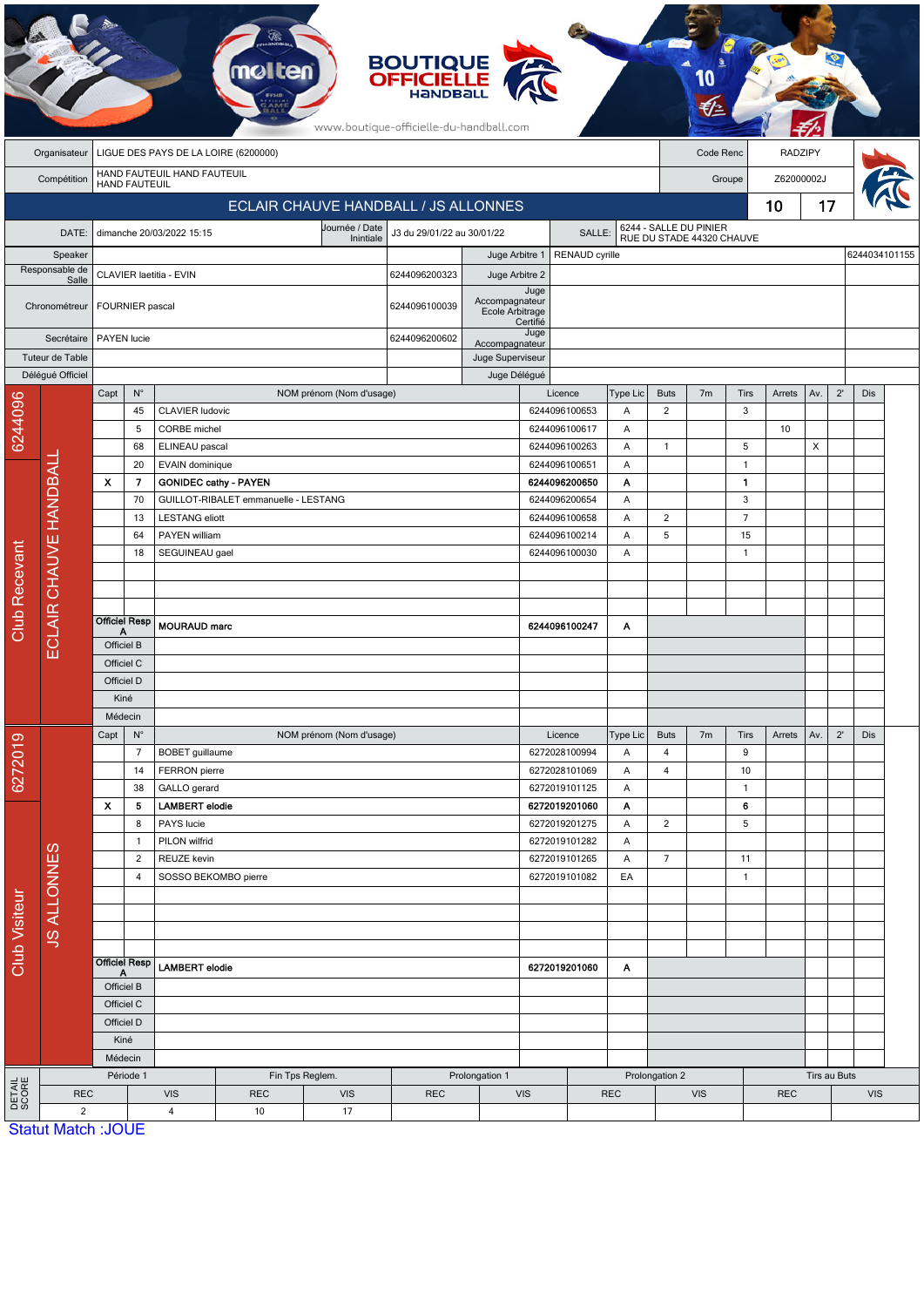| <b>BOUTIQUE<br/>OFFICIELLE</b><br>www.boutique-officielle-du-handball.com |                                            |                                                                            |                       |                              |                                      |                          |                                      |                    |                                |                          |                |                                                     |                |                |              |            |               |            |  |
|---------------------------------------------------------------------------|--------------------------------------------|----------------------------------------------------------------------------|-----------------------|------------------------------|--------------------------------------|--------------------------|--------------------------------------|--------------------|--------------------------------|--------------------------|----------------|-----------------------------------------------------|----------------|----------------|--------------|------------|---------------|------------|--|
|                                                                           | Organisateur                               |                                                                            |                       |                              | LIGUE DES PAYS DE LA LOIRE (6200000) |                          |                                      |                    |                                |                          |                |                                                     | Code Renc      |                | RADZIPY      |            |               |            |  |
|                                                                           | HAND FAUTEUIL HAND FAUTEUIL<br>Compétition |                                                                            |                       |                              |                                      |                          |                                      |                    |                                |                          |                | Groupe                                              |                |                |              | Z62000002J |               |            |  |
| <b>HAND FAUTEUIL</b><br><b>ECLAIR CHAUVE HANDBALL / JS ALLONNES</b>       |                                            |                                                                            |                       |                              |                                      |                          |                                      |                    |                                |                          |                |                                                     |                |                | 10           | 17         |               |            |  |
|                                                                           |                                            |                                                                            |                       |                              |                                      | Journée / Date           |                                      |                    |                                |                          |                |                                                     |                |                |              |            |               |            |  |
|                                                                           | DATE:                                      |                                                                            |                       | dimanche 20/03/2022 15:15    |                                      | Inintiale                | J3 du 29/01/22 au 30/01/22<br>SALLE: |                    |                                |                          |                | 6244 - SALLE DU PINIER<br>RUE DU STADE 44320 CHAUVE |                |                |              |            |               |            |  |
| Speaker<br>Responsable de                                                 |                                            |                                                                            |                       |                              |                                      |                          |                                      | Juge Arbitre 1     |                                | RENAUD cyrille           |                |                                                     |                |                |              |            | 6244034101155 |            |  |
|                                                                           | Salle                                      | CLAVIER laetitia - EVIN                                                    |                       |                              |                                      |                          | 6244096200323                        | Juge Arbitre 2     | Juge                           |                          |                |                                                     |                |                |              |            |               |            |  |
|                                                                           | Chronométreur                              |                                                                            | FOURNIER pascal       |                              |                                      | 6244096100039            | Accompagnateur<br>Ecole Arbitrage    | Certifié           |                                |                          |                |                                                     |                |                |              |            |               |            |  |
| Secrétaire                                                                |                                            |                                                                            | PAYEN lucie           |                              |                                      |                          | 6244096200602                        | Accompagnateur     | Juge                           |                          |                |                                                     |                |                |              |            |               |            |  |
|                                                                           | Tuteur de Table                            |                                                                            |                       |                              |                                      |                          |                                      | Juge Superviseur   |                                |                          |                |                                                     |                |                |              |            |               |            |  |
|                                                                           | Délégué Officiel                           |                                                                            |                       |                              |                                      |                          |                                      | Juge Délégué       |                                |                          |                |                                                     |                |                |              |            |               |            |  |
| 6244096                                                                   |                                            | Capt                                                                       | $N^{\circ}$<br>45     | <b>CLAVIER ludovic</b>       |                                      | NOM prénom (Nom d'usage) |                                      |                    |                                | Licence<br>6244096100653 | Type Lic<br>Α  | <b>Buts</b><br>$\overline{2}$                       | 7 <sub>m</sub> | Tirs<br>3      | Arrets       | Av.        | $2^{\prime}$  | Dis        |  |
|                                                                           |                                            |                                                                            | 5                     | CORBE michel                 |                                      |                          |                                      |                    |                                | 6244096100617            | Α              |                                                     |                |                | 10           |            |               |            |  |
|                                                                           |                                            |                                                                            | 68                    | ELINEAU pascal               |                                      |                          |                                      |                    |                                | 6244096100263            | Α              | $\mathbf{1}$                                        |                | 5              |              | X          |               |            |  |
|                                                                           |                                            |                                                                            | 20<br>EVAIN dominique |                              |                                      |                          | 6244096100651<br>Α                   |                    |                                |                          |                | $\mathbf{1}$                                        |                |                |              |            |               |            |  |
|                                                                           |                                            | $\boldsymbol{\mathsf{x}}$                                                  | 7                     | <b>GONIDEC cathy - PAYEN</b> |                                      |                          |                                      |                    |                                | 6244096200650            | Α              |                                                     |                | $\mathbf{1}$   |              |            |               |            |  |
|                                                                           |                                            |                                                                            | 70                    |                              | GUILLOT-RIBALET emmanuelle - LESTANG |                          |                                      |                    | 6244096200654<br>Α             |                          |                |                                                     | 3              |                |              |            |               |            |  |
|                                                                           | ECLAIR CHAUVE HANDBALI                     |                                                                            | 13                    | <b>LESTANG</b> eliott        |                                      |                          |                                      |                    |                                | 6244096100658<br>Α       |                |                                                     |                | $\overline{7}$ |              |            |               |            |  |
|                                                                           |                                            |                                                                            | 64                    | PAYEN william                |                                      |                          |                                      |                    | 6244096100214<br>6244096100030 |                          | Α              | 5                                                   |                | 15             |              |            |               |            |  |
|                                                                           |                                            |                                                                            | 18                    | SEGUINEAU gael               |                                      |                          |                                      |                    | A                              |                          |                | $\mathbf{1}$                                        |                |                |              |            |               |            |  |
|                                                                           |                                            |                                                                            |                       |                              |                                      |                          |                                      |                    |                                |                          |                |                                                     |                |                |              |            |               |            |  |
|                                                                           |                                            |                                                                            |                       |                              |                                      |                          |                                      |                    |                                |                          |                |                                                     |                |                |              |            |               |            |  |
| <b>Club Recevant</b>                                                      |                                            | <b>Officiel Resp</b><br>A                                                  |                       | MOURAUD marc                 |                                      |                          |                                      |                    | 6244096100247                  | Α                        |                |                                                     |                |                |              |            |               |            |  |
|                                                                           |                                            | Officiel B                                                                 |                       |                              |                                      |                          |                                      |                    |                                |                          |                |                                                     |                |                |              |            |               |            |  |
|                                                                           |                                            | Officiel C                                                                 |                       |                              |                                      |                          |                                      |                    |                                |                          |                |                                                     |                |                |              |            |               |            |  |
|                                                                           |                                            | Officiel D                                                                 |                       |                              |                                      |                          |                                      |                    |                                |                          |                |                                                     |                |                |              |            |               |            |  |
|                                                                           |                                            | Kiné<br>Médecin                                                            |                       |                              |                                      |                          |                                      |                    |                                |                          |                |                                                     |                |                |              |            |               |            |  |
| 6272019                                                                   |                                            | $\mathsf{N}^\circ$<br>Capt                                                 |                       |                              |                                      | NOM prénom (Nom d'usage) |                                      |                    |                                | Licence                  | Type Lic       | <b>Buts</b>                                         | 7 <sub>m</sub> | Tirs           | Arrets       | Av.        | $2^{\prime}$  | Dis        |  |
|                                                                           |                                            |                                                                            | $\overline{7}$        | <b>BOBET</b> guillaume       |                                      |                          |                                      |                    |                                | 6272028100994            | Α              | $\overline{\mathbf{4}}$                             |                | 9              |              |            |               |            |  |
|                                                                           |                                            |                                                                            | 14                    | FERRON pierre                |                                      |                          |                                      |                    |                                | 6272028101069            | Α              | $\overline{\mathbf{4}}$                             |                | 10             |              |            |               |            |  |
| <b>Club Visiteur</b>                                                      |                                            |                                                                            | 38                    |                              | GALLO gerard                         |                          |                                      |                    |                                | 6272019101125            | Α              |                                                     |                | $\mathbf{1}$   |              |            |               |            |  |
|                                                                           |                                            | $\pmb{\chi}$<br>5<br>8<br>$\mathbf{1}$<br>$\overline{2}$<br>$\overline{4}$ |                       | <b>LAMBERT</b> elodie        |                                      |                          |                                      |                    |                                | 6272019201060            | A              |                                                     |                | 6              |              |            |               |            |  |
|                                                                           |                                            |                                                                            |                       | PAYS lucie<br>PILON wilfrid  |                                      |                          |                                      |                    | 6272019201275<br>6272019101282 |                          | A<br>Α         | $\overline{2}$                                      |                | 5              |              |            |               |            |  |
|                                                                           |                                            |                                                                            |                       | REUZE kevin                  |                                      |                          |                                      | 6272019101265      |                                | Α                        | $\overline{7}$ |                                                     | 11             |                |              |            |               |            |  |
|                                                                           |                                            |                                                                            |                       | SOSSO BEKOMBO pierre         |                                      |                          |                                      |                    | EA<br>6272019101082            |                          |                |                                                     |                | $\overline{1}$ |              |            |               |            |  |
|                                                                           | <b>JS ALLONNES</b>                         |                                                                            |                       |                              |                                      |                          |                                      |                    |                                |                          |                |                                                     |                |                |              |            |               |            |  |
|                                                                           |                                            |                                                                            |                       |                              |                                      |                          |                                      |                    |                                |                          |                |                                                     |                |                |              |            |               |            |  |
|                                                                           |                                            |                                                                            |                       |                              |                                      |                          |                                      |                    |                                |                          |                |                                                     |                |                |              |            |               |            |  |
|                                                                           |                                            | <b>Officiel Resp</b>                                                       |                       | <b>LAMBERT</b> elodie        |                                      |                          |                                      | 6272019201060<br>A |                                |                          |                |                                                     |                |                |              |            |               |            |  |
|                                                                           |                                            | A<br>Officiel B                                                            |                       |                              |                                      |                          |                                      |                    |                                |                          |                |                                                     |                |                |              |            |               |            |  |
|                                                                           |                                            | Officiel C<br>Officiel D<br>Kiné                                           |                       |                              |                                      |                          |                                      |                    |                                |                          |                |                                                     |                |                |              |            |               |            |  |
|                                                                           |                                            |                                                                            |                       |                              |                                      |                          |                                      |                    |                                |                          |                |                                                     |                |                |              |            |               |            |  |
|                                                                           |                                            |                                                                            |                       |                              |                                      |                          |                                      |                    |                                |                          |                |                                                     |                |                |              |            |               |            |  |
|                                                                           |                                            |                                                                            | Médecin               |                              |                                      |                          |                                      |                    |                                |                          |                |                                                     |                |                |              |            |               |            |  |
|                                                                           |                                            | Période 1                                                                  |                       | Fin Tps Reglem.              |                                      |                          | Prolongation 1                       |                    |                                |                          | Prolongation 2 |                                                     |                |                | Tirs au Buts |            |               |            |  |
| <b>DETAIL</b><br>SCORE                                                    | <b>REC</b><br>$\sqrt{2}$                   |                                                                            |                       | <b>VIS</b><br>$\overline{4}$ | <b>REC</b><br>10                     | <b>VIS</b><br>17         | <b>REC</b>                           |                    | VIS<br><b>REC</b>              |                          |                | <b>VIS</b>                                          |                |                | <b>REC</b>   |            |               | <b>VIS</b> |  |
|                                                                           | <b>Statut Match: JOUE</b>                  |                                                                            |                       |                              |                                      |                          |                                      |                    |                                |                          |                |                                                     |                |                |              |            |               |            |  |